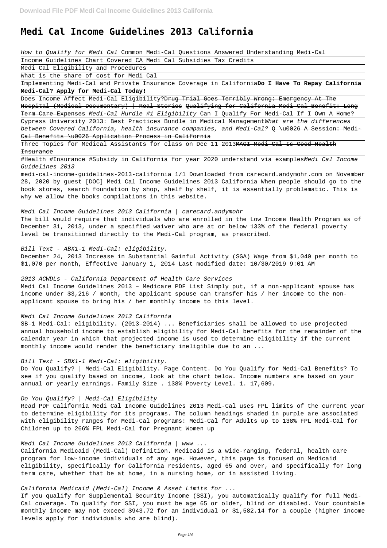# **Medi Cal Income Guidelines 2013 California**

How to Qualify for Medi Cal Common Medi-Cal Questions Answered Understanding Medi-Cal

Income Guidelines Chart Covered CA Medi Cal Subsidies Tax Credits

Medi Cal Eligibility and Procedures

What is the share of cost for Medi Cal

Implementing Medi-Cal and Private Insurance Coverage in California**Do I Have To Repay California Medi-Cal? Apply for Medi-Cal Today!**

Does Income Affect Medi-Cal Eligibility? Drug Trial Goes Terribly Wrong: Emergency At The Hospital (Medical Documentary) | Real Stories Qualifying for California Medi-Cal Benefit: Long Term Care Expenses Medi-Cal Hurdle #1 Eligibility Can I Qualify For Medi-Cal If I Own A Home? Cypress University 2013: Best Practices Bundle in Medical ManagementWhat are the differences between Covered California, health insurance companies, and Medi-Cal? Q \u0026 A Session: Medi-

Three Topics for Medical Assistants for class on Dec 11 2013MAGI Medi Cal Is Good Health Insurance

#Health #Insurance #Subsidy in California for year 2020 understand via examplesMedi Cal Income Guidelines 2013

Cal Benefits \u0026 Application Process in California

medi-cal-income-guidelines-2013-california 1/1 Downloaded from carecard.andymohr.com on November 28, 2020 by guest [DOC] Medi Cal Income Guidelines 2013 California When people should go to the book stores, search foundation by shop, shelf by shelf, it is essentially problematic. This is why we allow the books compilations in this website.

Medi Cal Income Guidelines 2013 California | carecard.andymohr

The bill would require that individuals who are enrolled in the Low Income Health Program as of December 31, 2013, under a specified waiver who are at or below 133% of the federal poverty level be transitioned directly to the Medi-Cal program, as prescribed.

Bill Text - ABX1-1 Medi-Cal: eligibility.

December 24, 2013 Increase in Substantial Gainful Activity (SGA) Wage from \$1,040 per month to \$1,070 per month, Effective January 1, 2014 Last modified date: 10/30/2019 9:01 AM

#### 2013 ACWDLs - California Department of Health Care Services

Medi Cal Income Guidelines 2013 – Medicare PDF List Simply put, if a non-applicant spouse has income under \$3,216 / month, the applicant spouse can transfer his / her income to the nonapplicant spouse to bring his / her monthly income to this level.

# Medi Cal Income Guidelines 2013 California

SB-1 Medi-Cal: eligibility. (2013-2014) ... Beneficiaries shall be allowed to use projected annual household income to establish eligibility for Medi-Cal benefits for the remainder of the calendar year in which that projected income is used to determine eligibility if the current monthly income would render the beneficiary ineligible due to an ...

# Bill Text - SBX1-1 Medi-Cal: eligibility.

Do You Qualify? | Medi-Cal Eligibility. Page Content. Do You Qualify for Medi-Cal Benefits? To see if you qualify based on income, look at the chart below. Income numbers are based on your annual or yearly earnings. Family Size . 138% Poverty Level. 1. 17,609.

# Do You Qualify? | Medi-Cal Eligibility

Read PDF California Medi Cal Income Guidelines 2013 Medi-Cal uses FPL limits of the current year to determine eligibility for its programs. The column headings shaded in purple are associated with eligibility ranges for Medi-Cal programs: Medi-Cal for Adults up to 138% FPL Medi-Cal for Children up to 266% FPL Medi-Cal for Pregnant Women up

Medi Cal Income Guidelines 2013 California | www ...

California Medicaid (Medi-Cal) Definition. Medicaid is a wide-ranging, federal, health care program for low-income individuals of any age. However, this page is focused on Medicaid eligibility, specifically for California residents, aged 65 and over, and specifically for long term care, whether that be at home, in a nursing home, or in assisted living.

California Medicaid (Medi-Cal) Income & Asset Limits for ...

If you qualify for Supplemental Security Income (SSI), you automatically qualify for full Medi-Cal coverage. To qualify for SSI, you must be age 65 or older, blind or disabled. Your countable monthly income may not exceed \$943.72 for an individual or \$1,582.14 for a couple (higher income levels apply for individuals who are blind).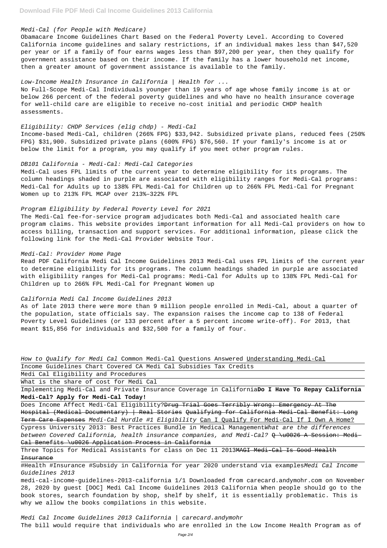# Medi-Cal (for People with Medicare)

Obamacare Income Guidelines Chart Based on the Federal Poverty Level. According to Covered California income guidelines and salary restrictions, if an individual makes less than \$47,520 per year or if a family of four earns wages less than \$97,200 per year, then they qualify for government assistance based on their income. If the family has a lower household net income, then a greater amount of government assistance is available to the family.

# Low-Income Health Insurance in California | Health for ...

No Full-Scope Medi-Cal Individuals younger than 19 years of age whose family income is at or below 266 percent of the federal poverty guidelines and who have no health insurance coverage for well-child care are eligible to receive no-cost initial and periodic CHDP health assessments.

#### Eligibility: CHDP Services (elig chdp) - Medi-Cal

Income-based Medi-Cal, children (266% FPG) \$33,942. Subsidized private plans, reduced fees (250% FPG) \$31,900. Subsidized private plans (600% FPG) \$76,560. If your family's income is at or below the limit for a program, you may qualify if you meet other program rules.

#### DB101 California - Medi-Cal: Medi-Cal Categories

Medi-Cal uses FPL limits of the current year to determine eligibility for its programs. The column headings shaded in purple are associated with eligibility ranges for Medi-Cal programs: Medi-Cal for Adults up to 138% FPL Medi-Cal for Children up to 266% FPL Medi-Cal for Pregnant Women up to 213% FPL MCAP over 213%–322% FPL

How to Qualify for Medi Cal Common Medi-Cal Questions Answered Understanding Medi-Cal Income Guidelines Chart Covered CA Medi Cal Subsidies Tax Credits

#### Program Eligibility by Federal Poverty Level for 2021

Does Income Affect Medi-Cal Eligibility? Drug Trial Goes Terribly Wrong: Emergency At The Hospital (Medical Documentary) | Real Stories Qualifying for California Medi-Cal Benefit: Long

The Medi-Cal fee-for-service program adjudicates both Medi-Cal and associated health care program claims. This website provides important information for all Medi-Cal providers on how to access billing, transaction and support services. For additional information, please click the following link for the Medi-Cal Provider Website Tour.

Three Topics for Medical Assistants for class on Dec 11 2013MAGI Medi-Cal Is Good Health Insurance

#### Medi-Cal: Provider Home Page

Medi Cal Income Guidelines 2013 California | carecard.andymohr The bill would require that individuals who are enrolled in the Low Income Health Program as of

Read PDF California Medi Cal Income Guidelines 2013 Medi-Cal uses FPL limits of the current year to determine eligibility for its programs. The column headings shaded in purple are associated with eligibility ranges for Medi-Cal programs: Medi-Cal for Adults up to 138% FPL Medi-Cal for Children up to 266% FPL Medi-Cal for Pregnant Women up

#### California Medi Cal Income Guidelines 2013

As of late 2013 there were more than 9 million people enrolled in Medi-Cal, about a quarter of the population, state officials say. The expansion raises the income cap to 138 of Federal Poverty Level Guidelines (or 133 percent after a 5 percent income write-off). For 2013, that meant \$15,856 for individuals and \$32,500 for a family of four.

Medi Cal Eligibility and Procedures

What is the share of cost for Medi Cal

Implementing Medi-Cal and Private Insurance Coverage in California**Do I Have To Repay California Medi-Cal? Apply for Medi-Cal Today!**

Term Care Expenses Medi-Cal Hurdle #1 Eligibility Can I Qualify For Medi-Cal If I Own A Home? Cypress University 2013: Best Practices Bundle in Medical ManagementWhat are the differences between Covered California, health insurance companies, and Medi-Cal?  $Q \rightarrow 0026$  A Session: Medi-Cal Benefits \u0026 Application Process in California

#Health #Insurance #Subsidy in California for year 2020 understand via examplesMedi Cal Income Guidelines 2013

medi-cal-income-guidelines-2013-california 1/1 Downloaded from carecard.andymohr.com on November 28, 2020 by guest [DOC] Medi Cal Income Guidelines 2013 California When people should go to the book stores, search foundation by shop, shelf by shelf, it is essentially problematic. This is why we allow the books compilations in this website.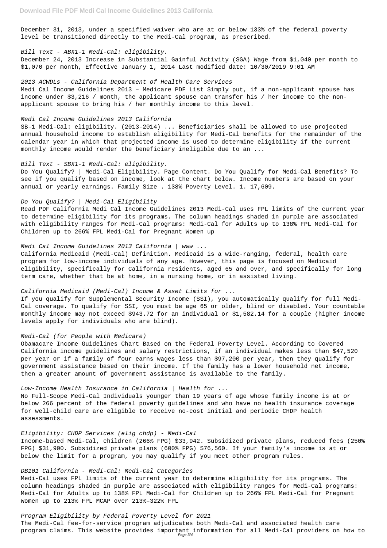December 31, 2013, under a specified waiver who are at or below 133% of the federal poverty level be transitioned directly to the Medi-Cal program, as prescribed.

# Bill Text - ABX1-1 Medi-Cal: eligibility.

December 24, 2013 Increase in Substantial Gainful Activity (SGA) Wage from \$1,040 per month to \$1,070 per month, Effective January 1, 2014 Last modified date: 10/30/2019 9:01 AM

#### 2013 ACWDLs - California Department of Health Care Services

Medi Cal Income Guidelines 2013 – Medicare PDF List Simply put, if a non-applicant spouse has income under \$3,216 / month, the applicant spouse can transfer his / her income to the nonapplicant spouse to bring his / her monthly income to this level.

# Medi Cal Income Guidelines 2013 California

SB-1 Medi-Cal: eligibility. (2013-2014) ... Beneficiaries shall be allowed to use projected annual household income to establish eligibility for Medi-Cal benefits for the remainder of the calendar year in which that projected income is used to determine eligibility if the current monthly income would render the beneficiary ineligible due to an ...

#### Bill Text - SBX1-1 Medi-Cal: eligibility.

Do You Qualify? | Medi-Cal Eligibility. Page Content. Do You Qualify for Medi-Cal Benefits? To see if you qualify based on income, look at the chart below. Income numbers are based on your annual or yearly earnings. Family Size . 138% Poverty Level. 1. 17,609.

# Do You Qualify? | Medi-Cal Eligibility

Read PDF California Medi Cal Income Guidelines 2013 Medi-Cal uses FPL limits of the current year to determine eligibility for its programs. The column headings shaded in purple are associated with eligibility ranges for Medi-Cal programs: Medi-Cal for Adults up to 138% FPL Medi-Cal for Children up to 266% FPL Medi-Cal for Pregnant Women up

# Medi Cal Income Guidelines 2013 California | www ...

California Medicaid (Medi-Cal) Definition. Medicaid is a wide-ranging, federal, health care program for low-income individuals of any age. However, this page is focused on Medicaid eligibility, specifically for California residents, aged 65 and over, and specifically for long term care, whether that be at home, in a nursing home, or in assisted living.

# California Medicaid (Medi-Cal) Income & Asset Limits for ...

If you qualify for Supplemental Security Income (SSI), you automatically qualify for full Medi-Cal coverage. To qualify for SSI, you must be age 65 or older, blind or disabled. Your countable monthly income may not exceed \$943.72 for an individual or \$1,582.14 for a couple (higher income levels apply for individuals who are blind).

#### Medi-Cal (for People with Medicare)

Obamacare Income Guidelines Chart Based on the Federal Poverty Level. According to Covered California income guidelines and salary restrictions, if an individual makes less than \$47,520 per year or if a family of four earns wages less than \$97,200 per year, then they qualify for government assistance based on their income. If the family has a lower household net income, then a greater amount of government assistance is available to the family.

# Low-Income Health Insurance in California  $/$  Health for  $\ldots$

No Full-Scope Medi-Cal Individuals younger than 19 years of age whose family income is at or below 266 percent of the federal poverty guidelines and who have no health insurance coverage for well-child care are eligible to receive no-cost initial and periodic CHDP health

Eligibility: CHDP Services (elig chdp) - Medi-Cal Income-based Medi-Cal, children (266% FPG) \$33,942. Subsidized private plans, reduced fees (250% FPG) \$31,900. Subsidized private plans (600% FPG) \$76,560. If your family's income is at or below the limit for a program, you may qualify if you meet other program rules.

# DB101 California - Medi-Cal: Medi-Cal Categories

Medi-Cal uses FPL limits of the current year to determine eligibility for its programs. The column headings shaded in purple are associated with eligibility ranges for Medi-Cal programs: Medi-Cal for Adults up to 138% FPL Medi-Cal for Children up to 266% FPL Medi-Cal for Pregnant Women up to 213% FPL MCAP over 213%–322% FPL

Program Eligibility by Federal Poverty Level for 2021 The Medi-Cal fee-for-service program adjudicates both Medi-Cal and associated health care program claims. This website provides important information for all Medi-Cal providers on how to Page 3/4